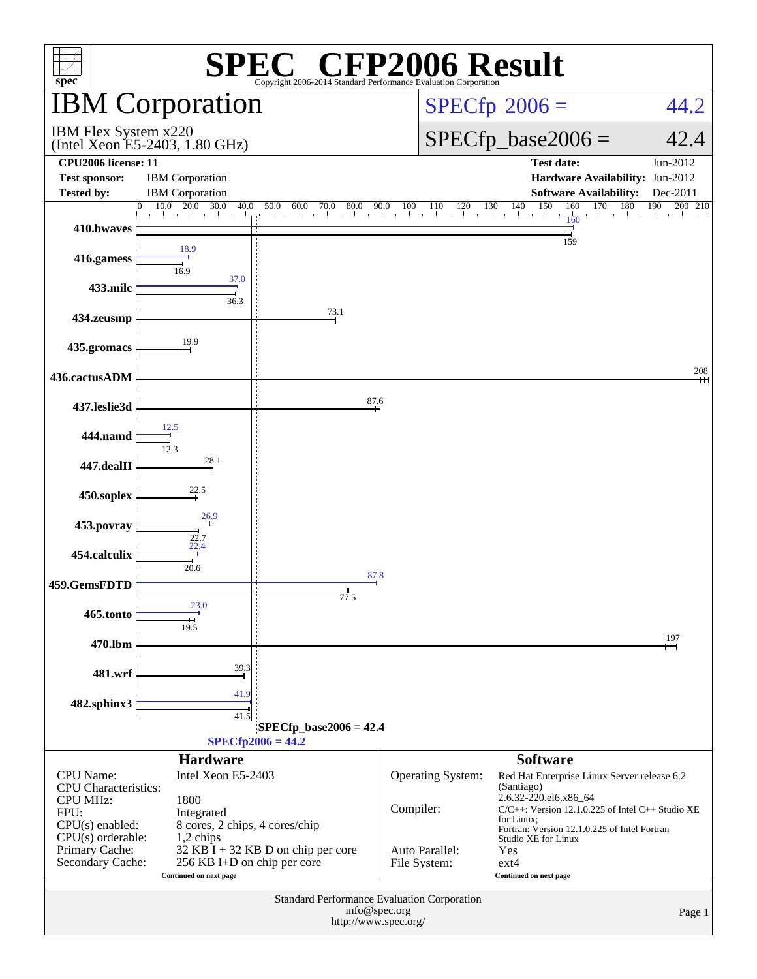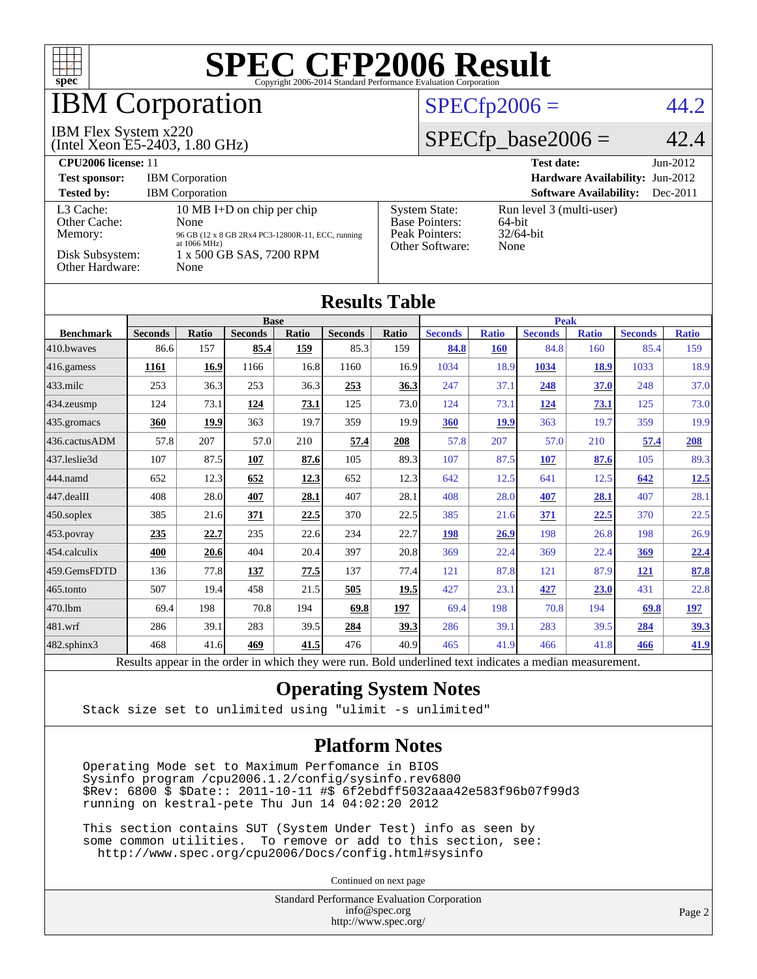

## **BM Corporation**

#### IBM Flex System x220

(Intel Xeon E5-2403, 1.80 GHz)

#### $SPECfp2006 = 44.2$  $SPECfp2006 = 44.2$

#### $SPECfp\_base2006 = 42.4$

| <b>CPU2006 license: 11</b>                                                 |                                                                                                                                                        |                                                                                    | <b>Test date:</b><br>$Jun-2012$                            |
|----------------------------------------------------------------------------|--------------------------------------------------------------------------------------------------------------------------------------------------------|------------------------------------------------------------------------------------|------------------------------------------------------------|
| <b>Test sponsor:</b>                                                       | <b>IBM</b> Corporation                                                                                                                                 |                                                                                    | Hardware Availability: Jun-2012                            |
| <b>Tested by:</b>                                                          | <b>IBM</b> Corporation                                                                                                                                 |                                                                                    | <b>Software Availability:</b><br>$Dec-2011$                |
| L3 Cache:<br>Other Cache:<br>Memory:<br>Disk Subsystem:<br>Other Hardware: | 10 MB I+D on chip per chip<br>None<br>96 GB (12 x 8 GB 2Rx4 PC3-12800R-11, ECC, running<br>at $1066 \text{ MHz}$ )<br>1 x 500 GB SAS, 7200 RPM<br>None | <b>System State:</b><br><b>Base Pointers:</b><br>Peak Pointers:<br>Other Software: | Run level 3 (multi-user)<br>64-bit<br>$32/64$ -bit<br>None |

| <b>Results Table</b>   |                                                |              |                                                           |             |                |              |                                               |              |                |              |                |              |
|------------------------|------------------------------------------------|--------------|-----------------------------------------------------------|-------------|----------------|--------------|-----------------------------------------------|--------------|----------------|--------------|----------------|--------------|
|                        | <b>Base</b>                                    |              |                                                           | <b>Peak</b> |                |              |                                               |              |                |              |                |              |
| <b>Benchmark</b>       | <b>Seconds</b>                                 | <b>Ratio</b> | <b>Seconds</b>                                            | Ratio       | <b>Seconds</b> | <b>Ratio</b> | <b>Seconds</b>                                | <b>Ratio</b> | <b>Seconds</b> | <b>Ratio</b> | <b>Seconds</b> | <b>Ratio</b> |
| 410.bwayes             | 86.6                                           | 157          | 85.4                                                      | 159         | 85.3           | 159          | 84.8                                          | <b>160</b>   | 84.8           | 160          | 85.4           | 159          |
| 416.gamess             | <b>1161</b>                                    | 16.9         | 1166                                                      | 16.8        | 1160           | 16.9         | 1034                                          | 18.9         | 1034           | 18.9         | 1033           | 18.9         |
| $433$ .milc            | 253                                            | 36.3         | 253                                                       | 36.3        | 253            | 36.3         | 247                                           | 37.1         | 248            | 37.0         | 248            | 37.0         |
| $434$ . zeusmp         | 124                                            | 73.1         | 124                                                       | 73.1        | 125            | 73.0         | 124                                           | 73.1         | 124            | 73.1         | 125            | 73.0         |
| $435.$ gromacs         | 360                                            | 19.9         | 363                                                       | 19.7        | 359            | 19.9         | 360                                           | <b>19.9</b>  | 363            | 19.7         | 359            | 19.9         |
| 436.cactusADM          | 57.8                                           | 207          | 57.0                                                      | 210         | 57.4           | 208          | 57.8                                          | 207          | 57.0           | 210          | 57.4           | 208          |
| 437.leslie3d           | 107                                            | 87.5         | 107                                                       | 87.6        | 105            | 89.3         | 107                                           | 87.5         | 107            | 87.6         | 105            | 89.3         |
| 444.namd               | 652                                            | 12.3         | 652                                                       | 12.3        | 652            | 12.3         | 642                                           | 12.5         | 641            | 12.5         | 642            | 12.5         |
| $ 447 \text{.}$ dealII | 408                                            | 28.0         | 407                                                       | 28.1        | 407            | 28.1         | 408                                           | 28.0         | 407            | 28.1         | 407            | 28.1         |
| $450$ .soplex          | 385                                            | 21.6         | 371                                                       | 22.5        | 370            | 22.5         | 385                                           | 21.6         | 371            | <u>22.5</u>  | 370            | 22.5         |
| 453.povray             | 235                                            | 22.7         | 235                                                       | 22.6        | 234            | 22.7         | 198                                           | 26.9         | 198            | 26.8         | 198            | 26.9         |
| $ 454$ .calculix       | 400                                            | 20.6         | 404                                                       | 20.4        | 397            | 20.8         | 369                                           | 22.4         | 369            | 22.4         | <u>369</u>     | 22.4         |
| 459.GemsFDTD           | 136                                            | 77.8         | 137                                                       | 77.5        | 137            | 77.4         | 121                                           | 87.8         | 121            | 87.9         | 121            | 87.8         |
| $ 465$ .tonto          | 507                                            | 19.4         | 458                                                       | 21.5        | 505            | 19.5         | 427                                           | 23.1         | 427            | 23.0         | 431            | 22.8         |
| 470.1bm                | 69.4                                           | 198          | 70.8                                                      | 194         | 69.8           | 197          | 69.4                                          | 198          | 70.8           | 194          | 69.8           | 197          |
| $ 481$ .wrf            | 286                                            | 39.1         | 283                                                       | 39.5        | 284            | 39.3         | 286                                           | 39.1         | 283            | 39.5         | 284            | 39.3         |
| 482.sphinx3            | 468                                            | 41.6         | 469                                                       | 41.5        | 476            | 40.9         | 465                                           | 41.9         | 466            | 41.8         | 466            | 41.9         |
|                        | $\mathbf{D}$ and $\mathbf{L}$ and $\mathbf{L}$ |              | المتحسن ومتحدد وجحامله والمكاردة ودفاهم والمتحر والملامين |             |                |              | . Die 14 von 4 en 15 maak van de staat gewone |              | a 41 a se      |              |                |              |

Results appear in the [order in which they were run.](http://www.spec.org/auto/cpu2006/Docs/result-fields.html#RunOrder) Bold underlined text [indicates a median measurement.](http://www.spec.org/auto/cpu2006/Docs/result-fields.html#Median)

#### **[Operating System Notes](http://www.spec.org/auto/cpu2006/Docs/result-fields.html#OperatingSystemNotes)**

Stack size set to unlimited using "ulimit -s unlimited"

#### **[Platform Notes](http://www.spec.org/auto/cpu2006/Docs/result-fields.html#PlatformNotes)**

 Operating Mode set to Maximum Perfomance in BIOS Sysinfo program /cpu2006.1.2/config/sysinfo.rev6800 \$Rev: 6800 \$ \$Date:: 2011-10-11 #\$ 6f2ebdff5032aaa42e583f96b07f99d3 running on kestral-pete Thu Jun 14 04:02:20 2012

 This section contains SUT (System Under Test) info as seen by some common utilities. To remove or add to this section, see: <http://www.spec.org/cpu2006/Docs/config.html#sysinfo>

Continued on next page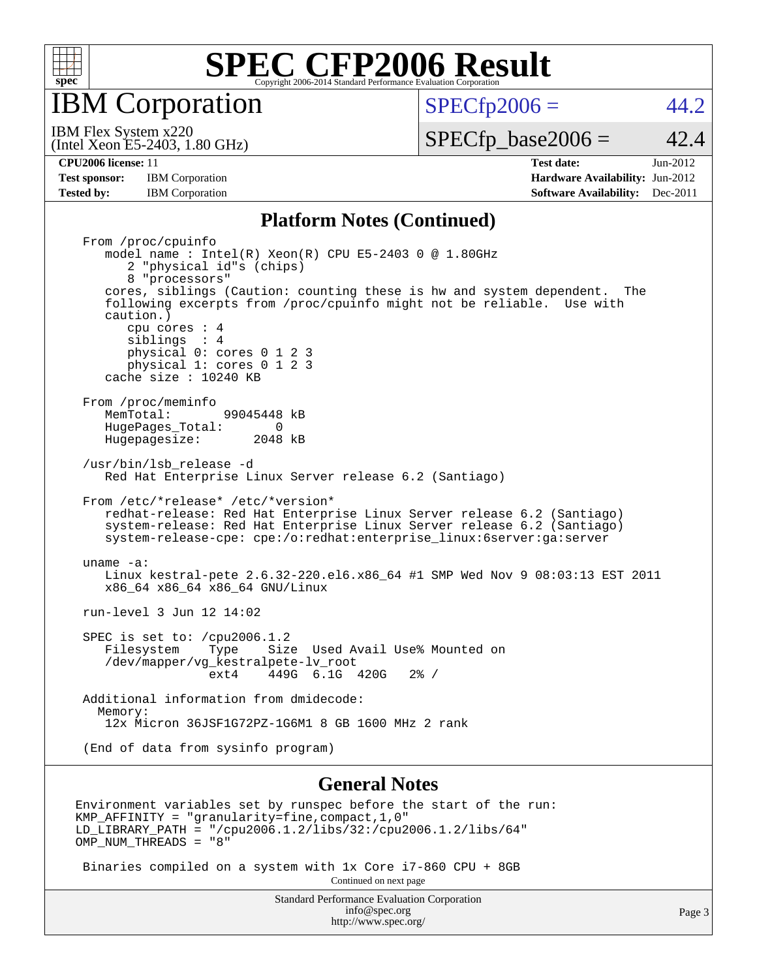

IBM Corporation

 $SPECTp2006 = 44.2$ 

(Intel Xeon E5-2403, 1.80 GHz) IBM Flex System x220

 $SPECTp\_base2006 = 42.4$ 

**[Test sponsor:](http://www.spec.org/auto/cpu2006/Docs/result-fields.html#Testsponsor)** IBM Corporation **IBM** Corporation **[Hardware Availability:](http://www.spec.org/auto/cpu2006/Docs/result-fields.html#HardwareAvailability)** Jun-2012 **[Tested by:](http://www.spec.org/auto/cpu2006/Docs/result-fields.html#Testedby)** IBM Corporation **[Software Availability:](http://www.spec.org/auto/cpu2006/Docs/result-fields.html#SoftwareAvailability)** Dec-2011

**[CPU2006 license:](http://www.spec.org/auto/cpu2006/Docs/result-fields.html#CPU2006license)** 11 **[Test date:](http://www.spec.org/auto/cpu2006/Docs/result-fields.html#Testdate)** Jun-2012

#### **[Platform Notes \(Continued\)](http://www.spec.org/auto/cpu2006/Docs/result-fields.html#PlatformNotes)**

 From /proc/cpuinfo model name : Intel(R) Xeon(R) CPU E5-2403 0 @ 1.80GHz 2 "physical id"s (chips) 8 "processors" cores, siblings (Caution: counting these is hw and system dependent. The following excerpts from /proc/cpuinfo might not be reliable. Use with caution.) cpu cores : 4 siblings : 4 physical 0: cores 0 1 2 3 physical 1: cores 0 1 2 3 cache size : 10240 KB From /proc/meminfo<br>MemTotal: 99045448 kB HugePages\_Total: 0<br>Hugepagesize: 2048 kB Hugepagesize: /usr/bin/lsb\_release -d Red Hat Enterprise Linux Server release 6.2 (Santiago) From /etc/\*release\* /etc/\*version\* redhat-release: Red Hat Enterprise Linux Server release 6.2 (Santiago) system-release: Red Hat Enterprise Linux Server release 6.2 (Santiago) system-release-cpe: cpe:/o:redhat:enterprise\_linux:6server:ga:server uname -a: Linux kestral-pete 2.6.32-220.el6.x86\_64 #1 SMP Wed Nov 9 08:03:13 EST 2011 x86\_64 x86\_64 x86\_64 GNU/Linux run-level 3 Jun 12 14:02 SPEC is set to: /cpu2006.1.2<br>Filesystem Type Size Type Size Used Avail Use% Mounted on /dev/mapper/vg\_kestralpete-lv\_root ext4 449G 6.1G 420G 2% / Additional information from dmidecode: Memory: 12x Micron 36JSF1G72PZ-1G6M1 8 GB 1600 MHz 2 rank (End of data from sysinfo program)

#### **[General Notes](http://www.spec.org/auto/cpu2006/Docs/result-fields.html#GeneralNotes)**

Environment variables set by runspec before the start of the run: KMP\_AFFINITY = "granularity=fine,compact,1,0" LD\_LIBRARY\_PATH = "/cpu2006.1.2/libs/32:/cpu2006.1.2/libs/64" OMP NUM THREADS = "8"

 Binaries compiled on a system with 1x Core i7-860 CPU + 8GB Continued on next page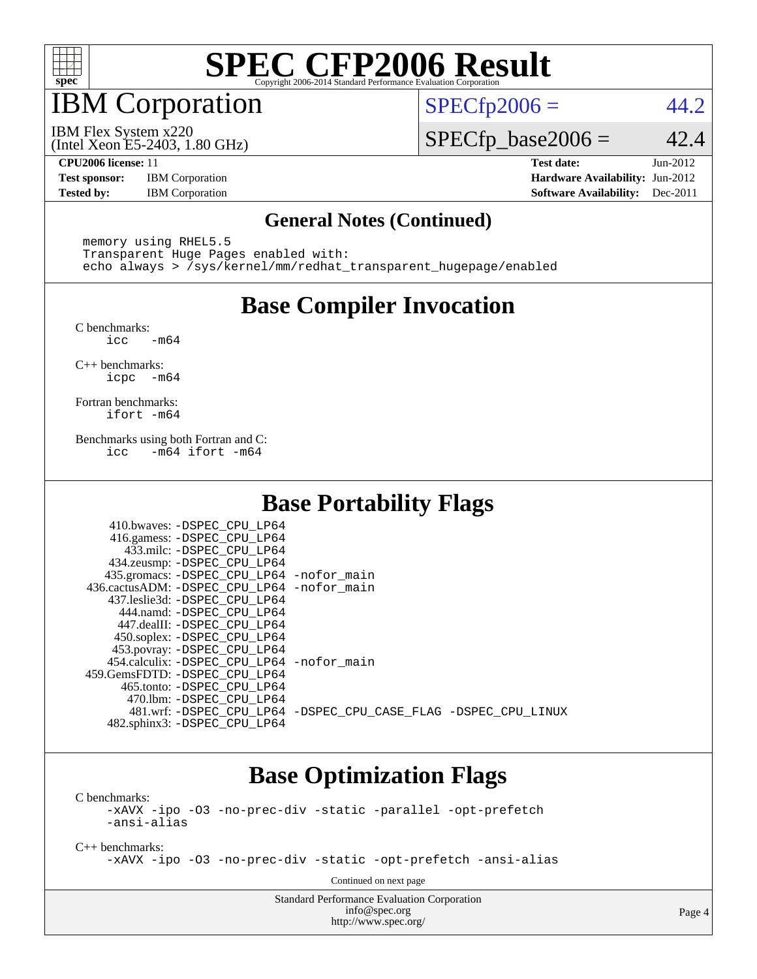

## IBM Corporation

 $SPECTp2006 = 44.2$ 

(Intel Xeon E5-2403, 1.80 GHz) IBM Flex System x220

 $SPECTp\_base2006 = 42.4$ 

**[Test sponsor:](http://www.spec.org/auto/cpu2006/Docs/result-fields.html#Testsponsor)** IBM Corporation **[Hardware Availability:](http://www.spec.org/auto/cpu2006/Docs/result-fields.html#HardwareAvailability)** Jun-2012

**[CPU2006 license:](http://www.spec.org/auto/cpu2006/Docs/result-fields.html#CPU2006license)** 11 **[Test date:](http://www.spec.org/auto/cpu2006/Docs/result-fields.html#Testdate)** Jun-2012 **[Tested by:](http://www.spec.org/auto/cpu2006/Docs/result-fields.html#Testedby)** IBM Corporation **[Software Availability:](http://www.spec.org/auto/cpu2006/Docs/result-fields.html#SoftwareAvailability)** Dec-2011

#### **[General Notes \(Continued\)](http://www.spec.org/auto/cpu2006/Docs/result-fields.html#GeneralNotes)**

 memory using RHEL5.5 Transparent Huge Pages enabled with: echo always > /sys/kernel/mm/redhat\_transparent\_hugepage/enabled

### **[Base Compiler Invocation](http://www.spec.org/auto/cpu2006/Docs/result-fields.html#BaseCompilerInvocation)**

[C benchmarks](http://www.spec.org/auto/cpu2006/Docs/result-fields.html#Cbenchmarks):  $-m64$ 

[C++ benchmarks:](http://www.spec.org/auto/cpu2006/Docs/result-fields.html#CXXbenchmarks) [icpc -m64](http://www.spec.org/cpu2006/results/res2012q3/cpu2006-20120618-23012.flags.html#user_CXXbase_intel_icpc_64bit_bedb90c1146cab66620883ef4f41a67e)

[Fortran benchmarks](http://www.spec.org/auto/cpu2006/Docs/result-fields.html#Fortranbenchmarks): [ifort -m64](http://www.spec.org/cpu2006/results/res2012q3/cpu2006-20120618-23012.flags.html#user_FCbase_intel_ifort_64bit_ee9d0fb25645d0210d97eb0527dcc06e)

[Benchmarks using both Fortran and C](http://www.spec.org/auto/cpu2006/Docs/result-fields.html#BenchmarksusingbothFortranandC): [icc -m64](http://www.spec.org/cpu2006/results/res2012q3/cpu2006-20120618-23012.flags.html#user_CC_FCbase_intel_icc_64bit_0b7121f5ab7cfabee23d88897260401c) [ifort -m64](http://www.spec.org/cpu2006/results/res2012q3/cpu2006-20120618-23012.flags.html#user_CC_FCbase_intel_ifort_64bit_ee9d0fb25645d0210d97eb0527dcc06e)

### **[Base Portability Flags](http://www.spec.org/auto/cpu2006/Docs/result-fields.html#BasePortabilityFlags)**

| 410.bwaves: -DSPEC CPU LP64                 |                                                                |
|---------------------------------------------|----------------------------------------------------------------|
| 416.gamess: - DSPEC_CPU_LP64                |                                                                |
| 433.milc: -DSPEC CPU LP64                   |                                                                |
| 434.zeusmp: -DSPEC_CPU_LP64                 |                                                                |
| 435.gromacs: -DSPEC_CPU_LP64 -nofor_main    |                                                                |
| 436.cactusADM: -DSPEC CPU LP64 -nofor main  |                                                                |
| 437.leslie3d: -DSPEC CPU LP64               |                                                                |
| 444.namd: -DSPEC CPU LP64                   |                                                                |
| 447.dealII: -DSPEC CPU LP64                 |                                                                |
| 450.soplex: -DSPEC_CPU_LP64                 |                                                                |
| 453.povray: -DSPEC_CPU_LP64                 |                                                                |
| 454.calculix: - DSPEC CPU LP64 - nofor main |                                                                |
| 459.GemsFDTD: -DSPEC_CPU_LP64               |                                                                |
| 465.tonto: - DSPEC CPU LP64                 |                                                                |
| 470.1bm: -DSPEC CPU LP64                    |                                                                |
|                                             | 481.wrf: -DSPEC_CPU_LP64 -DSPEC_CPU_CASE_FLAG -DSPEC_CPU_LINUX |
| 482.sphinx3: -DSPEC_CPU_LP64                |                                                                |

### **[Base Optimization Flags](http://www.spec.org/auto/cpu2006/Docs/result-fields.html#BaseOptimizationFlags)**

[C benchmarks](http://www.spec.org/auto/cpu2006/Docs/result-fields.html#Cbenchmarks):

[-xAVX](http://www.spec.org/cpu2006/results/res2012q3/cpu2006-20120618-23012.flags.html#user_CCbase_f-xAVX) [-ipo](http://www.spec.org/cpu2006/results/res2012q3/cpu2006-20120618-23012.flags.html#user_CCbase_f-ipo) [-O3](http://www.spec.org/cpu2006/results/res2012q3/cpu2006-20120618-23012.flags.html#user_CCbase_f-O3) [-no-prec-div](http://www.spec.org/cpu2006/results/res2012q3/cpu2006-20120618-23012.flags.html#user_CCbase_f-no-prec-div) [-static](http://www.spec.org/cpu2006/results/res2012q3/cpu2006-20120618-23012.flags.html#user_CCbase_f-static) [-parallel](http://www.spec.org/cpu2006/results/res2012q3/cpu2006-20120618-23012.flags.html#user_CCbase_f-parallel) [-opt-prefetch](http://www.spec.org/cpu2006/results/res2012q3/cpu2006-20120618-23012.flags.html#user_CCbase_f-opt-prefetch) [-ansi-alias](http://www.spec.org/cpu2006/results/res2012q3/cpu2006-20120618-23012.flags.html#user_CCbase_f-ansi-alias)

[C++ benchmarks:](http://www.spec.org/auto/cpu2006/Docs/result-fields.html#CXXbenchmarks)

[-xAVX](http://www.spec.org/cpu2006/results/res2012q3/cpu2006-20120618-23012.flags.html#user_CXXbase_f-xAVX) [-ipo](http://www.spec.org/cpu2006/results/res2012q3/cpu2006-20120618-23012.flags.html#user_CXXbase_f-ipo) [-O3](http://www.spec.org/cpu2006/results/res2012q3/cpu2006-20120618-23012.flags.html#user_CXXbase_f-O3) [-no-prec-div](http://www.spec.org/cpu2006/results/res2012q3/cpu2006-20120618-23012.flags.html#user_CXXbase_f-no-prec-div) [-static](http://www.spec.org/cpu2006/results/res2012q3/cpu2006-20120618-23012.flags.html#user_CXXbase_f-static) [-opt-prefetch](http://www.spec.org/cpu2006/results/res2012q3/cpu2006-20120618-23012.flags.html#user_CXXbase_f-opt-prefetch) [-ansi-alias](http://www.spec.org/cpu2006/results/res2012q3/cpu2006-20120618-23012.flags.html#user_CXXbase_f-ansi-alias)

Continued on next page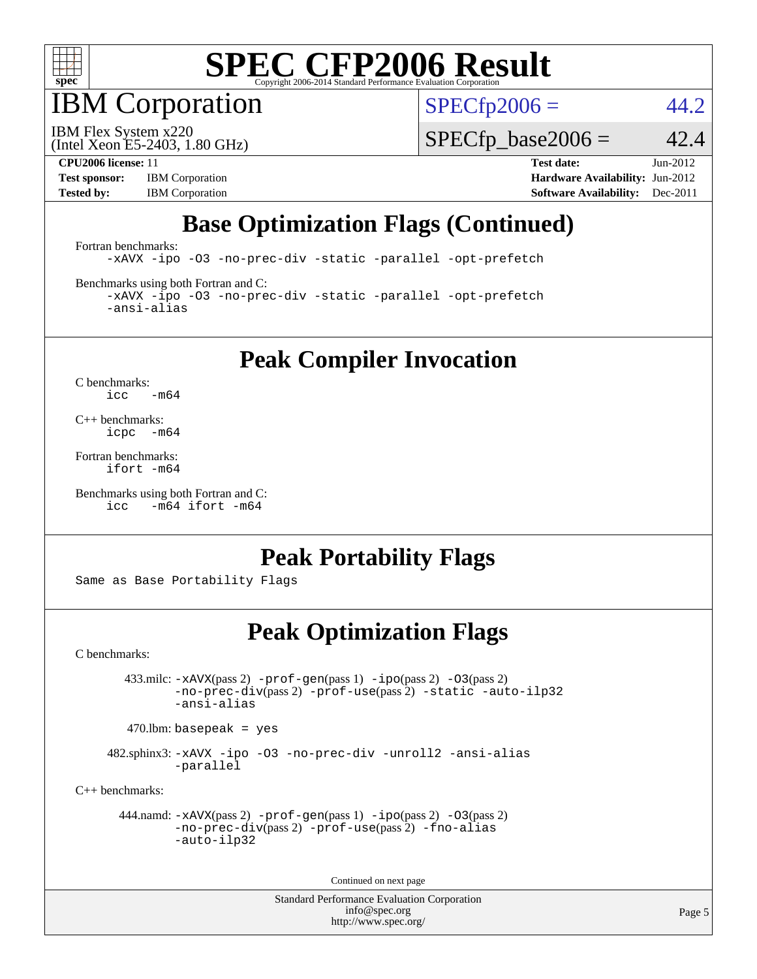

IBM Corporation

 $SPECTp2006 = 44.2$ 

(Intel Xeon E5-2403, 1.80 GHz) IBM Flex System x220

 $SPECfp\_base2006 = 42.4$ 

**[Test sponsor:](http://www.spec.org/auto/cpu2006/Docs/result-fields.html#Testsponsor)** IBM Corporation **[Hardware Availability:](http://www.spec.org/auto/cpu2006/Docs/result-fields.html#HardwareAvailability)** Jun-2012

**[CPU2006 license:](http://www.spec.org/auto/cpu2006/Docs/result-fields.html#CPU2006license)** 11 **[Test date:](http://www.spec.org/auto/cpu2006/Docs/result-fields.html#Testdate)** Jun-2012 **[Tested by:](http://www.spec.org/auto/cpu2006/Docs/result-fields.html#Testedby)** IBM Corporation **[Software Availability:](http://www.spec.org/auto/cpu2006/Docs/result-fields.html#SoftwareAvailability)** Dec-2011

### **[Base Optimization Flags \(Continued\)](http://www.spec.org/auto/cpu2006/Docs/result-fields.html#BaseOptimizationFlags)**

[Fortran benchmarks](http://www.spec.org/auto/cpu2006/Docs/result-fields.html#Fortranbenchmarks):

[-xAVX](http://www.spec.org/cpu2006/results/res2012q3/cpu2006-20120618-23012.flags.html#user_FCbase_f-xAVX) [-ipo](http://www.spec.org/cpu2006/results/res2012q3/cpu2006-20120618-23012.flags.html#user_FCbase_f-ipo) [-O3](http://www.spec.org/cpu2006/results/res2012q3/cpu2006-20120618-23012.flags.html#user_FCbase_f-O3) [-no-prec-div](http://www.spec.org/cpu2006/results/res2012q3/cpu2006-20120618-23012.flags.html#user_FCbase_f-no-prec-div) [-static](http://www.spec.org/cpu2006/results/res2012q3/cpu2006-20120618-23012.flags.html#user_FCbase_f-static) [-parallel](http://www.spec.org/cpu2006/results/res2012q3/cpu2006-20120618-23012.flags.html#user_FCbase_f-parallel) [-opt-prefetch](http://www.spec.org/cpu2006/results/res2012q3/cpu2006-20120618-23012.flags.html#user_FCbase_f-opt-prefetch)

[Benchmarks using both Fortran and C](http://www.spec.org/auto/cpu2006/Docs/result-fields.html#BenchmarksusingbothFortranandC):

[-xAVX](http://www.spec.org/cpu2006/results/res2012q3/cpu2006-20120618-23012.flags.html#user_CC_FCbase_f-xAVX) [-ipo](http://www.spec.org/cpu2006/results/res2012q3/cpu2006-20120618-23012.flags.html#user_CC_FCbase_f-ipo) [-O3](http://www.spec.org/cpu2006/results/res2012q3/cpu2006-20120618-23012.flags.html#user_CC_FCbase_f-O3) [-no-prec-div](http://www.spec.org/cpu2006/results/res2012q3/cpu2006-20120618-23012.flags.html#user_CC_FCbase_f-no-prec-div) [-static](http://www.spec.org/cpu2006/results/res2012q3/cpu2006-20120618-23012.flags.html#user_CC_FCbase_f-static) [-parallel](http://www.spec.org/cpu2006/results/res2012q3/cpu2006-20120618-23012.flags.html#user_CC_FCbase_f-parallel) [-opt-prefetch](http://www.spec.org/cpu2006/results/res2012q3/cpu2006-20120618-23012.flags.html#user_CC_FCbase_f-opt-prefetch) [-ansi-alias](http://www.spec.org/cpu2006/results/res2012q3/cpu2006-20120618-23012.flags.html#user_CC_FCbase_f-ansi-alias)

**[Peak Compiler Invocation](http://www.spec.org/auto/cpu2006/Docs/result-fields.html#PeakCompilerInvocation)**

[C benchmarks](http://www.spec.org/auto/cpu2006/Docs/result-fields.html#Cbenchmarks):  $\text{icc}$  -m64

[C++ benchmarks:](http://www.spec.org/auto/cpu2006/Docs/result-fields.html#CXXbenchmarks) [icpc -m64](http://www.spec.org/cpu2006/results/res2012q3/cpu2006-20120618-23012.flags.html#user_CXXpeak_intel_icpc_64bit_bedb90c1146cab66620883ef4f41a67e)

[Fortran benchmarks](http://www.spec.org/auto/cpu2006/Docs/result-fields.html#Fortranbenchmarks): [ifort -m64](http://www.spec.org/cpu2006/results/res2012q3/cpu2006-20120618-23012.flags.html#user_FCpeak_intel_ifort_64bit_ee9d0fb25645d0210d97eb0527dcc06e)

[Benchmarks using both Fortran and C](http://www.spec.org/auto/cpu2006/Docs/result-fields.html#BenchmarksusingbothFortranandC): [icc -m64](http://www.spec.org/cpu2006/results/res2012q3/cpu2006-20120618-23012.flags.html#user_CC_FCpeak_intel_icc_64bit_0b7121f5ab7cfabee23d88897260401c) [ifort -m64](http://www.spec.org/cpu2006/results/res2012q3/cpu2006-20120618-23012.flags.html#user_CC_FCpeak_intel_ifort_64bit_ee9d0fb25645d0210d97eb0527dcc06e)

### **[Peak Portability Flags](http://www.spec.org/auto/cpu2006/Docs/result-fields.html#PeakPortabilityFlags)**

Same as Base Portability Flags

### **[Peak Optimization Flags](http://www.spec.org/auto/cpu2006/Docs/result-fields.html#PeakOptimizationFlags)**

[C benchmarks](http://www.spec.org/auto/cpu2006/Docs/result-fields.html#Cbenchmarks):

 433.milc: [-xAVX](http://www.spec.org/cpu2006/results/res2012q3/cpu2006-20120618-23012.flags.html#user_peakPASS2_CFLAGSPASS2_LDFLAGS433_milc_f-xAVX)(pass 2) [-prof-gen](http://www.spec.org/cpu2006/results/res2012q3/cpu2006-20120618-23012.flags.html#user_peakPASS1_CFLAGSPASS1_LDFLAGS433_milc_prof_gen_e43856698f6ca7b7e442dfd80e94a8fc)(pass 1) [-ipo](http://www.spec.org/cpu2006/results/res2012q3/cpu2006-20120618-23012.flags.html#user_peakPASS2_CFLAGSPASS2_LDFLAGS433_milc_f-ipo)(pass 2) [-O3](http://www.spec.org/cpu2006/results/res2012q3/cpu2006-20120618-23012.flags.html#user_peakPASS2_CFLAGSPASS2_LDFLAGS433_milc_f-O3)(pass 2) [-no-prec-div](http://www.spec.org/cpu2006/results/res2012q3/cpu2006-20120618-23012.flags.html#user_peakPASS2_CFLAGSPASS2_LDFLAGS433_milc_f-no-prec-div)(pass 2) [-prof-use](http://www.spec.org/cpu2006/results/res2012q3/cpu2006-20120618-23012.flags.html#user_peakPASS2_CFLAGSPASS2_LDFLAGS433_milc_prof_use_bccf7792157ff70d64e32fe3e1250b55)(pass 2) [-static](http://www.spec.org/cpu2006/results/res2012q3/cpu2006-20120618-23012.flags.html#user_peakOPTIMIZE433_milc_f-static) [-auto-ilp32](http://www.spec.org/cpu2006/results/res2012q3/cpu2006-20120618-23012.flags.html#user_peakCOPTIMIZE433_milc_f-auto-ilp32) [-ansi-alias](http://www.spec.org/cpu2006/results/res2012q3/cpu2006-20120618-23012.flags.html#user_peakCOPTIMIZE433_milc_f-ansi-alias)

 $470.$ lbm: basepeak = yes

 482.sphinx3: [-xAVX](http://www.spec.org/cpu2006/results/res2012q3/cpu2006-20120618-23012.flags.html#user_peakOPTIMIZE482_sphinx3_f-xAVX) [-ipo](http://www.spec.org/cpu2006/results/res2012q3/cpu2006-20120618-23012.flags.html#user_peakOPTIMIZE482_sphinx3_f-ipo) [-O3](http://www.spec.org/cpu2006/results/res2012q3/cpu2006-20120618-23012.flags.html#user_peakOPTIMIZE482_sphinx3_f-O3) [-no-prec-div](http://www.spec.org/cpu2006/results/res2012q3/cpu2006-20120618-23012.flags.html#user_peakOPTIMIZE482_sphinx3_f-no-prec-div) [-unroll2](http://www.spec.org/cpu2006/results/res2012q3/cpu2006-20120618-23012.flags.html#user_peakCOPTIMIZE482_sphinx3_f-unroll_784dae83bebfb236979b41d2422d7ec2) [-ansi-alias](http://www.spec.org/cpu2006/results/res2012q3/cpu2006-20120618-23012.flags.html#user_peakCOPTIMIZE482_sphinx3_f-ansi-alias) [-parallel](http://www.spec.org/cpu2006/results/res2012q3/cpu2006-20120618-23012.flags.html#user_peakCOPTIMIZE482_sphinx3_f-parallel)

[C++ benchmarks:](http://www.spec.org/auto/cpu2006/Docs/result-fields.html#CXXbenchmarks)

```
 444.namd: -xAVX(pass 2) -prof-gen(pass 1) -ipo(pass 2) -O3(pass 2)
-no-prec-div(pass 2) -prof-use(pass 2) -fno-alias
-auto-ilp32
```
Continued on next page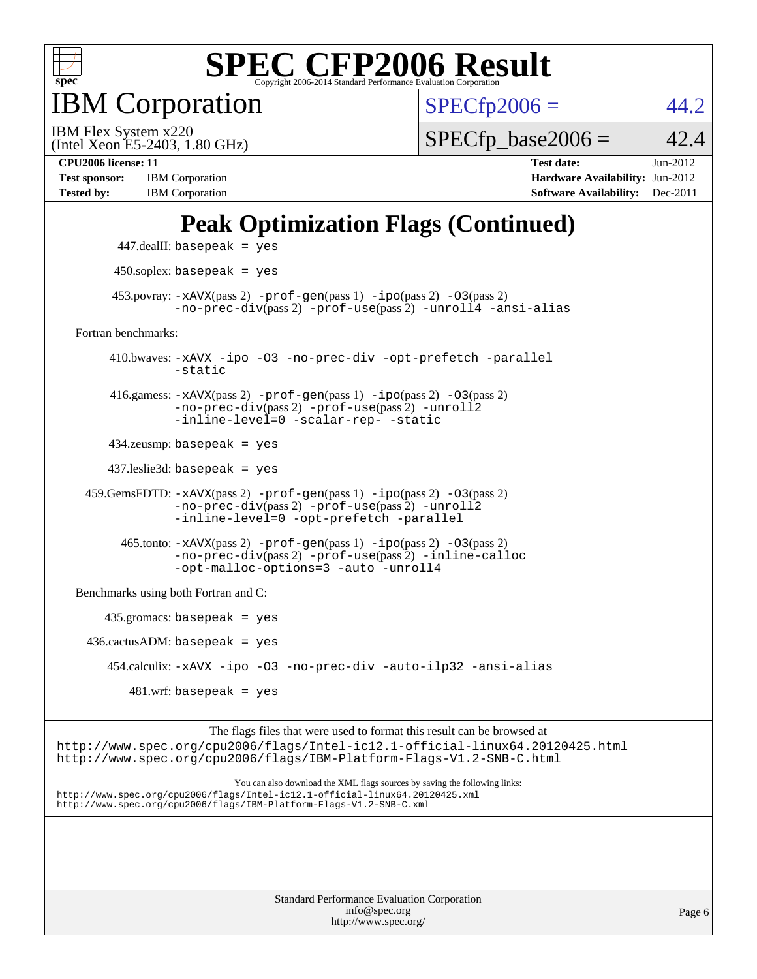

IBM Corporation

 $SPECfp2006 = 44.2$  $SPECfp2006 = 44.2$ 

(Intel Xeon E5-2403, 1.80 GHz) IBM Flex System x220

 $SPECfp\_base2006 = 42.4$ 

**[Test sponsor:](http://www.spec.org/auto/cpu2006/Docs/result-fields.html#Testsponsor)** IBM Corporation **[Hardware Availability:](http://www.spec.org/auto/cpu2006/Docs/result-fields.html#HardwareAvailability)** Jun-2012 **[Tested by:](http://www.spec.org/auto/cpu2006/Docs/result-fields.html#Testedby)** IBM Corporation **[Software Availability:](http://www.spec.org/auto/cpu2006/Docs/result-fields.html#SoftwareAvailability)** Dec-2011

**[CPU2006 license:](http://www.spec.org/auto/cpu2006/Docs/result-fields.html#CPU2006license)** 11 **[Test date:](http://www.spec.org/auto/cpu2006/Docs/result-fields.html#Testdate)** Jun-2012

### **[Peak Optimization Flags \(Continued\)](http://www.spec.org/auto/cpu2006/Docs/result-fields.html#PeakOptimizationFlags)**

|                                      | $447$ .dealII: basepeak = yes                                                                                                                                             |  |  |  |
|--------------------------------------|---------------------------------------------------------------------------------------------------------------------------------------------------------------------------|--|--|--|
|                                      | $450$ .soplex: basepeak = yes                                                                                                                                             |  |  |  |
|                                      | $453.$ povray: $-xAVX(pass 2)$ -prof-gen(pass 1) -ipo(pass 2) -03(pass 2)<br>-no-prec-div(pass 2) -prof-use(pass 2) -unroll4 -ansi-alias                                  |  |  |  |
| Fortran benchmarks:                  |                                                                                                                                                                           |  |  |  |
|                                      | 410.bwaves: -xAVX -ipo -03 -no-prec-div -opt-prefetch -parallel<br>$-static$                                                                                              |  |  |  |
|                                      | 416.gamess: $-xAVX(pass 2)$ -prof-gen(pass 1) -ipo(pass 2) -03(pass 2)<br>-no-prec-div(pass 2) -prof-use(pass 2) -unroll2<br>-inline-level=0 -scalar-rep- -static         |  |  |  |
| $434$ .zeusmp: basepeak = yes        |                                                                                                                                                                           |  |  |  |
| $437$ leslie3d: basepeak = yes       |                                                                                                                                                                           |  |  |  |
|                                      | $459.GemsFDTD: -xAVX(pass 2) -proj-gen(pass 1) -ipo(pass 2) -03(pass 2)$<br>-no-prec-div(pass 2) -prof-use(pass 2) -unroll2<br>-inline-level=0 -opt-prefetch -parallel    |  |  |  |
|                                      | $465$ .tonto: $-xAUX(pass 2)$ -prof-gen(pass 1) -ipo(pass 2) -03(pass 2)<br>-no-prec-div(pass 2) -prof-use(pass 2) -inline-calloc<br>-opt-malloc-options=3 -auto -unroll4 |  |  |  |
| Benchmarks using both Fortran and C: |                                                                                                                                                                           |  |  |  |
| $435.gromacs: basepeak = yes$        |                                                                                                                                                                           |  |  |  |
| $436.cactusADM:basepeak = yes$       |                                                                                                                                                                           |  |  |  |
|                                      | 454.calculix: -xAVX -ipo -03 -no-prec-div -auto-ilp32 -ansi-alias                                                                                                         |  |  |  |
|                                      | $481 \text{.m.f:}$ basepeak = yes                                                                                                                                         |  |  |  |
|                                      | The floor files that mean word to famout this around a match consumed at                                                                                                  |  |  |  |

The flags files that were used to format this result can be browsed at <http://www.spec.org/cpu2006/flags/Intel-ic12.1-official-linux64.20120425.html> <http://www.spec.org/cpu2006/flags/IBM-Platform-Flags-V1.2-SNB-C.html>

You can also download the XML flags sources by saving the following links: <http://www.spec.org/cpu2006/flags/Intel-ic12.1-official-linux64.20120425.xml> <http://www.spec.org/cpu2006/flags/IBM-Platform-Flags-V1.2-SNB-C.xml>